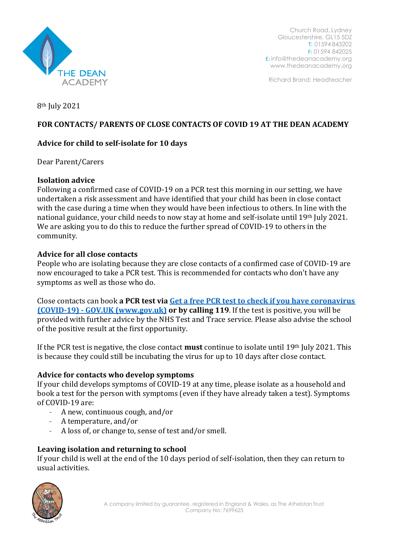

Church Road, Lydney Gloucestershire, GL15 5DZ T: 01594 843202 F: 01594 842025 E: [info@thedeanacademy.org](mailto:info@thedeanacademy.org) [www.thedeanacademy.org](http://www.thedeanacademy.org/)

Richard Brand: Headteacher

8th July 2021

# **FOR CONTACTS/ PARENTS OF CLOSE CONTACTS OF COVID 19 AT THE DEAN ACADEMY**

# **Advice for child to self-isolate for 10 days**

Dear Parent/Carers

#### **Isolation advice**

Following a confirmed case of COVID-19 on a PCR test this morning in our setting, we have undertaken a risk assessment and have identified that your child has been in close contact with the case during a time when they would have been infectious to others. In line with the national guidance, your child needs to now stay at home and self-isolate until 19th July 2021. We are asking you to do this to reduce the further spread of COVID-19 to others in the community.

#### **Advice for all close contacts**

People who are isolating because they are close contacts of a confirmed case of COVID-19 are now encouraged to take a PCR test. This is recommended for contacts who don't have any symptoms as well as those who do.

Close contacts can book **a PCR test via [Get a free PCR test to check if you have coronavirus](https://www.gov.uk/get-coronavirus-test)  (COVID-19) - [GOV.UK \(www.gov.uk\)](https://www.gov.uk/get-coronavirus-test) or by calling 119**. If the test is positive, you will be provided with further advice by the NHS Test and Trace service. Please also advise the school of the positive result at the first opportunity.

If the PCR test is negative, the close contact **must** continue to isolate until 19th July 2021. This is because they could still be incubating the virus for up to 10 days after close contact.

# **Advice for contacts who develop symptoms**

If your child develops symptoms of COVID-19 at any time, please isolate as a household and book a test for the person with symptoms (even if they have already taken a test). Symptoms of COVID-19 are:

- A new, continuous cough, and/or
- A temperature, and/or
- A loss of, or change to, sense of test and/or smell.

# **Leaving isolation and returning to school**

If your child is well at the end of the 10 days period of self-isolation, then they can return to usual activities.